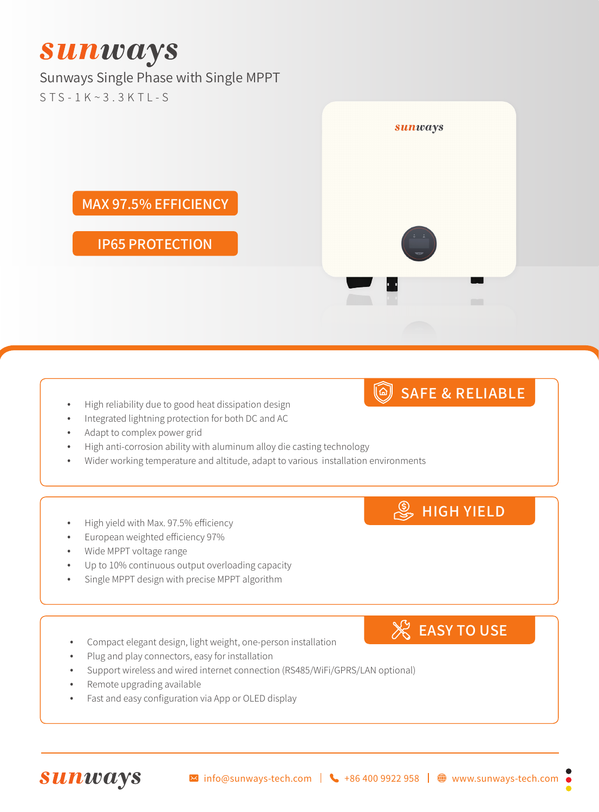# **Sunways**

### Sunways Single Phase with Single MPPT

STS-1K~3.3KTL-S



### SAFE & RELIABLE

- High reliability due to good heat dissipation design
- Integrated lightning protection for both DC and AC
- Adapt to complex power grid
- High anti-corrosion ability with aluminum alloy die casting technology
- Wider working temperature and altitude, adapt to various installation environments

### High yield with Max. 97.5% efficiency

- European weighted efficiency 97%
- Wide MPPT voltage range
- Up to 10% continuous output overloading capacity
- Single MPPT design with precise MPPT algorithm

#### Compact elegant design, light weight, one-person installation

- Plug and play connectors, easy for installation
- Support wireless and wired internet connection (RS485/WiFi/GPRS/LAN optional)
- Remote upgrading available
- Fast and easy configuration via App or OLED display

 $\%$  EASY TO USE

**S** HIGH YIELD